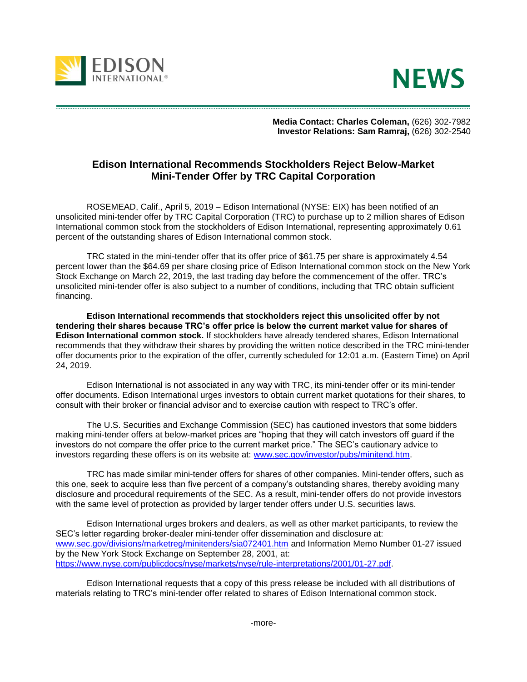



 **Media Contact: Charles Coleman,** (626) 302-7982  **Investor Relations: Sam Ramraj,** (626) 302-2540

## **Edison International Recommends Stockholders Reject Below-Market Mini-Tender Offer by TRC Capital Corporation**

ROSEMEAD, Calif., April 5, 2019 – Edison International (NYSE: EIX) has been notified of an unsolicited mini-tender offer by TRC Capital Corporation (TRC) to purchase up to 2 million shares of Edison International common stock from the stockholders of Edison International, representing approximately 0.61 percent of the outstanding shares of Edison International common stock.

TRC stated in the mini-tender offer that its offer price of \$61.75 per share is approximately 4.54 percent lower than the \$64.69 per share closing price of Edison International common stock on the New York Stock Exchange on March 22, 2019, the last trading day before the commencement of the offer. TRC's unsolicited mini-tender offer is also subject to a number of conditions, including that TRC obtain sufficient financing.

**Edison International recommends that stockholders reject this unsolicited offer by not tendering their shares because TRC's offer price is below the current market value for shares of Edison International common stock.** If stockholders have already tendered shares, Edison International recommends that they withdraw their shares by providing the written notice described in the TRC mini-tender offer documents prior to the expiration of the offer, currently scheduled for 12:01 a.m. (Eastern Time) on April 24, 2019.

Edison International is not associated in any way with TRC, its mini-tender offer or its mini-tender offer documents. Edison International urges investors to obtain current market quotations for their shares, to consult with their broker or financial advisor and to exercise caution with respect to TRC's offer.

The U.S. Securities and Exchange Commission (SEC) has cautioned investors that some bidders making mini-tender offers at below-market prices are "hoping that they will catch investors off guard if the investors do not compare the offer price to the current market price." The SEC's cautionary advice to investors regarding these offers is on its website at: [www.sec.gov/investor/pubs/minitend.htm.](http://www.sec.gov/investor/pubs/minitend.htm)

TRC has made similar mini-tender offers for shares of other companies. Mini-tender offers, such as this one, seek to acquire less than five percent of a company's outstanding shares, thereby avoiding many disclosure and procedural requirements of the SEC. As a result, mini-tender offers do not provide investors with the same level of protection as provided by larger tender offers under U.S. securities laws.

Edison International urges brokers and dealers, as well as other market participants, to review the SEC's letter regarding broker-dealer mini-tender offer dissemination and disclosure at: [www.sec.gov/divisions/marketreg/minitenders/sia072401.htm](http://www.sec.gov/divisions/marketreg/minitenders/sia072401.htm) and Information Memo Number 01-27 issued by the New York Stock Exchange on September 28, 2001, at: [https://www.nyse.com/publicdocs/nyse/markets/nyse/rule-interpretations/2001/01-27.pdf.](https://www.nyse.com/publicdocs/nyse/markets/nyse/rule-interpretations/2001/01-27.pdf)

Edison International requests that a copy of this press release be included with all distributions of materials relating to TRC's mini-tender offer related to shares of Edison International common stock.